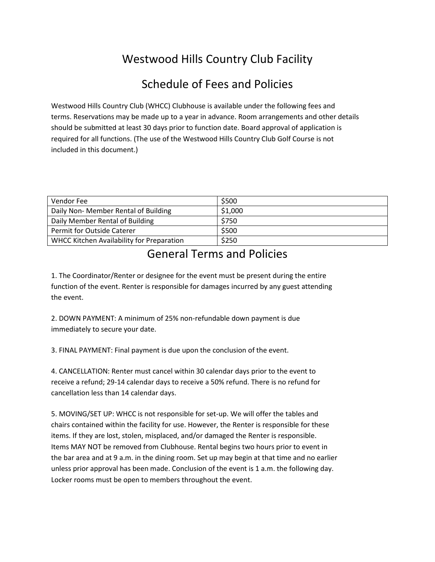## Westwood Hills Country Club Facility

## Schedule of Fees and Policies

Westwood Hills Country Club (WHCC) Clubhouse is available under the following fees and terms. Reservations may be made up to a year in advance. Room arrangements and other details should be submitted at least 30 days prior to function date. Board approval of application is required for all functions. (The use of the Westwood Hills Country Club Golf Course is not included in this document.)

| Vendor Fee                                | \$500   |
|-------------------------------------------|---------|
| Daily Non- Member Rental of Building      | \$1,000 |
| Daily Member Rental of Building           | \$750   |
| <b>Permit for Outside Caterer</b>         | \$500   |
| WHCC Kitchen Availability for Preparation | \$250   |

## General Terms and Policies

1. The Coordinator/Renter or designee for the event must be present during the entire function of the event. Renter is responsible for damages incurred by any guest attending the event.

2. DOWN PAYMENT: A minimum of 25% non-refundable down payment is due immediately to secure your date.

3. FINAL PAYMENT: Final payment is due upon the conclusion of the event.

4. CANCELLATION: Renter must cancel within 30 calendar days prior to the event to receive a refund; 29-14 calendar days to receive a 50% refund. There is no refund for cancellation less than 14 calendar days.

5. MOVING/SET UP: WHCC is not responsible for set-up. We will offer the tables and chairs contained within the facility for use. However, the Renter is responsible for these items. If they are lost, stolen, misplaced, and/or damaged the Renter is responsible. Items MAY NOT be removed from Clubhouse. Rental begins two hours prior to event in the bar area and at 9 a.m. in the dining room. Set up may begin at that time and no earlier unless prior approval has been made. Conclusion of the event is 1 a.m. the following day. Locker rooms must be open to members throughout the event.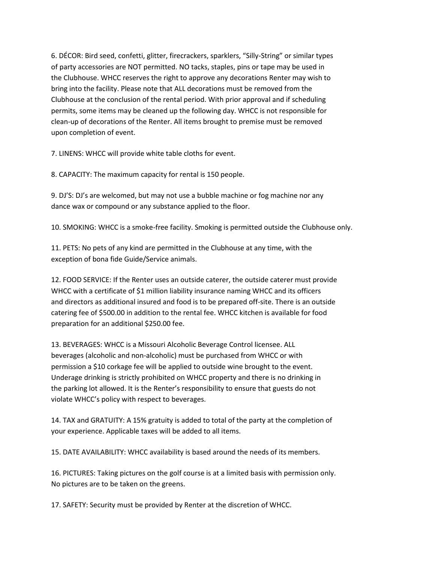6. DÉCOR: Bird seed, confetti, glitter, firecrackers, sparklers, "Silly-String" or similar types of party accessories are NOT permitted. NO tacks, staples, pins or tape may be used in the Clubhouse. WHCC reserves the right to approve any decorations Renter may wish to bring into the facility. Please note that ALL decorations must be removed from the Clubhouse at the conclusion of the rental period. With prior approval and if scheduling permits, some items may be cleaned up the following day. WHCC is not responsible for clean-up of decorations of the Renter. All items brought to premise must be removed upon completion of event.

7. LINENS: WHCC will provide white table cloths for event.

8. CAPACITY: The maximum capacity for rental is 150 people.

9. DJ'S: DJ's are welcomed, but may not use a bubble machine or fog machine nor any dance wax or compound or any substance applied to the floor.

10. SMOKING: WHCC is a smoke-free facility. Smoking is permitted outside the Clubhouse only.

11. PETS: No pets of any kind are permitted in the Clubhouse at any time, with the exception of bona fide Guide/Service animals.

12. FOOD SERVICE: If the Renter uses an outside caterer, the outside caterer must provide WHCC with a certificate of \$1 million liability insurance naming WHCC and its officers and directors as additional insured and food is to be prepared off-site. There is an outside catering fee of \$500.00 in addition to the rental fee. WHCC kitchen is available for food preparation for an additional \$250.00 fee.

13. BEVERAGES: WHCC is a Missouri Alcoholic Beverage Control licensee. ALL beverages (alcoholic and non-alcoholic) must be purchased from WHCC or with permission a \$10 corkage fee will be applied to outside wine brought to the event. Underage drinking is strictly prohibited on WHCC property and there is no drinking in the parking lot allowed. It is the Renter's responsibility to ensure that guests do not violate WHCC's policy with respect to beverages.

14. TAX and GRATUITY: A 15% gratuity is added to total of the party at the completion of your experience. Applicable taxes will be added to all items.

15. DATE AVAILABILITY: WHCC availability is based around the needs of its members.

16. PICTURES: Taking pictures on the golf course is at a limited basis with permission only. No pictures are to be taken on the greens.

17. SAFETY: Security must be provided by Renter at the discretion of WHCC.